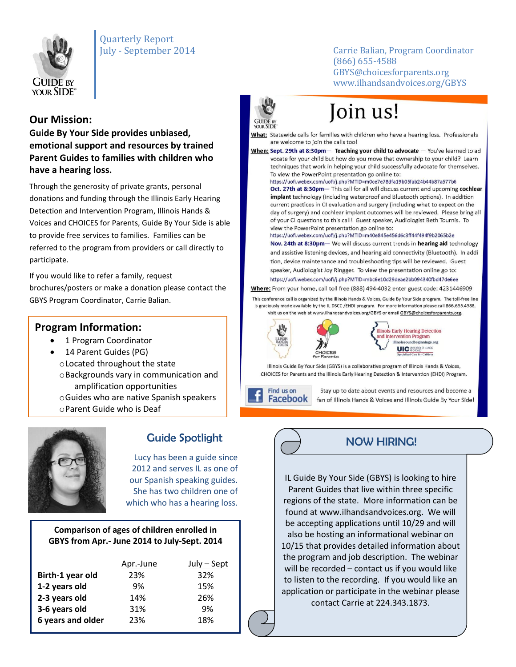

## Quarterly Report

July - September 2014 Carrie Balian, Program Coordinator (866) 655-4588 GBYS@choicesforparents.org www.ilhandsandvoices.org/GBYS

### **Our Mission:**

**Guide By Your Side provides unbiased, emotional support and resources by trained Parent Guides to families with children who have a hearing loss.** 

Through the generosity of private grants, personal donations and funding through the Illinois Early Hearing Detection and Intervention Program, Illinois Hands & Voices and CHOICES for Parents, Guide By Your Side is able to provide free services to families. Families can be referred to the program from providers or call directly to participate.

If you would like to refer a family, request brochures/posters or make a donation please contact the GBYS Program Coordinator, Carrie Balian.

### **Program Information:**

- 1 Program Coordinator
- 14 Parent Guides (PG) oLocated throughout the state oBackgrounds vary in communication and amplification opportunities oGuides who are native Spanish speakers oParent Guide who is Deaf



## Guide Spotlight

Lucy has been a guide since 2012 and serves IL as one of our Spanish speaking guides. She has two children one of which who has a hearing loss.

#### **Comparison of ages of children enrolled in GBYS from Apr.- June 2014 to July-Sept. 2014**

|                   | Apr.-June | $July - Sept$ |
|-------------------|-----------|---------------|
| Birth-1 year old  | 23%       | 32%           |
| 1-2 years old     | 9%        | 15%           |
| 2-3 years old     | 14%       | 26%           |
| 3-6 years old     | 31%       | 9%            |
| 6 years and older | 23%       | 18%           |



# Join us!

What: Statewide calls for families with children who have a hearing loss. Professionals are welcome to join the calls too!

When: Sept. 29th at 8:30pm- Teaching your child to advocate - You've learned to ad vocate for your child but how do you move that ownership to your child? Learn techniques that work in helping your child successfully advocate for themselves. To view the PowerPoint presentation go online to:

https://uofi.webex.com/uofi/j.php?MTID=m0ce7e78dfa19b05fab24b44b87a577b6

Oct. 27th at 8:30pm- This call for all will discuss current and upcoming cochlear implant technology (including waterproof and Bluetooth options). In addition current practices in CI evaluation and surgery (including what to expect on the day of surgery) and cochlear implant outcomes will be reviewed. Please bring all of your CI questions to this call! Guest speaker, Audiologist Beth Tournis. To view the PowerPoint presentation go online to:

https://uofi.webex.com/uofi/j.php?MTID=m40e845e456d6c3ff44f494f9b2065b2e Nov. 24th at 8:30pm- We will discuss current trends in hearing aid technology

and assistive listening devices, and hearing aid connectivity (Bluetooth). In addi tion, device maintenance and troubleshooting tips will be reviewed. Guest speaker, Audiologist Joy Ringger. To view the presentation online go to: https://uofi.webex.com/uofi/j.php?MTID=mbc6e10d29deae2bb094340fbd47de6ee

Where: From your home, call toll free (888) 494-4032 enter guest code: 4231446909

This conference call is organized by the Illinois Hands & Voices, Guide By Your Side program. The toll-free line is graciously made available by the IL DSCC /EHDI program. For more information please call 866.655.4588, visit us on the web at www.ilhandsandvoices.org/GBYS or email GBYS@choicesforparents.org.



**Illinois Early Hearing Detection** and Intervention Program illinoissoundbeginnings.org Specialized Care for Children

Illinois Guide By Your Side (GBYS) is a collaborative program of Illinois Hands & Voices, CHOICES for Parents and the Illinois Early Hearing Detection & Intervention (EHDI) Program.

Find us on **Facebook** 

Stay up to date about events and resources and become a fan of Illinois Hands & Voices and Illinois Guide By Your Side!



IL Guide By Your Side (GBYS) is looking to hire Parent Guides that live within three specific regions of the state. More information can be found at www.ilhandsandvoices.org. We will be accepting applications until 10/29 and will also be hosting an informational webinar on 10/15 that provides detailed information about the program and job description. The webinar will be recorded – contact us if you would like to listen to the recording. If you would like an application or participate in the webinar please contact Carrie at 224.343.1873.